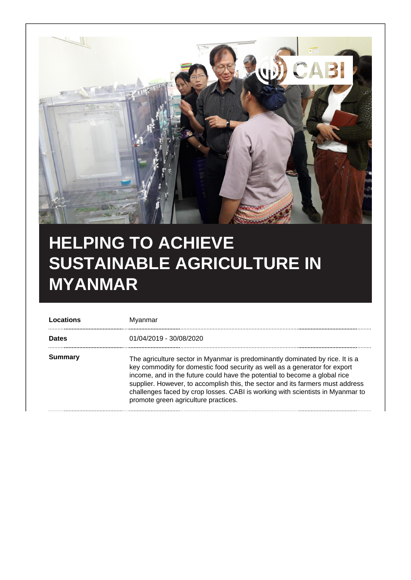

## **HELPING TO ACHIEVE SUSTAINABLE AGRICULTURE IN MYANMAR**

| Locations    | Myanmar                                                                                                                                                                                                                                                                                                                                                                                                                                               |
|--------------|-------------------------------------------------------------------------------------------------------------------------------------------------------------------------------------------------------------------------------------------------------------------------------------------------------------------------------------------------------------------------------------------------------------------------------------------------------|
| <b>Dates</b> | 01/04/2019 - 30/08/2020                                                                                                                                                                                                                                                                                                                                                                                                                               |
| Summary      | The agriculture sector in Myanmar is predominantly dominated by rice. It is a<br>key commodity for domestic food security as well as a generator for export<br>income, and in the future could have the potential to become a global rice<br>supplier. However, to accomplish this, the sector and its farmers must address<br>challenges faced by crop losses. CABI is working with scientists in Myanmar to<br>promote green agriculture practices. |
|              |                                                                                                                                                                                                                                                                                                                                                                                                                                                       |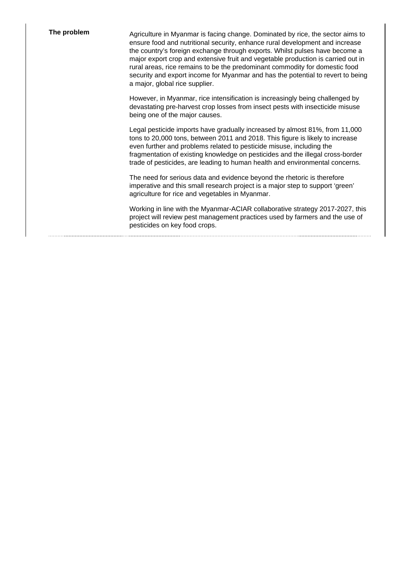**The problem** Agriculture in Myanmar is facing change. Dominated by rice, the sector aims to ensure food and nutritional security, enhance rural development and increase the country's foreign exchange through exports. Whilst pulses have become a major export crop and extensive fruit and vegetable production is carried out in rural areas, rice remains to be the predominant commodity for domestic food security and export income for Myanmar and has the potential to revert to being a major, global rice supplier.

> However, in Myanmar, rice intensification is increasingly being challenged by devastating pre-harvest crop losses from insect pests with insecticide misuse being one of the major causes.

Legal pesticide imports have gradually increased by almost 81%, from 11,000 tons to 20,000 tons, between 2011 and 2018. This figure is likely to increase even further and problems related to pesticide misuse, including the fragmentation of existing knowledge on pesticides and the illegal cross-border trade of pesticides, are leading to human health and environmental concerns.

The need for serious data and evidence beyond the rhetoric is therefore imperative and this small research project is a major step to support 'green' agriculture for rice and vegetables in Myanmar.

Working in line with the Myanmar-ACIAR collaborative strategy 2017-2027, this project will review pest management practices used by farmers and the use of pesticides on key food crops.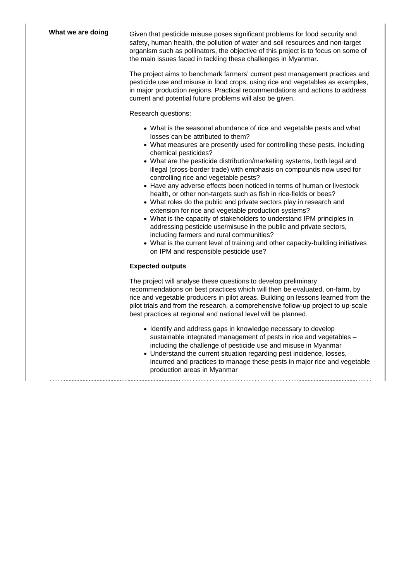What we are doing Given that pesticide misuse poses significant problems for food security and safety, human health, the pollution of water and soil resources and non-target organism such as pollinators, the objective of this project is to focus on some of the main issues faced in tackling these challenges in Myanmar.

> The project aims to benchmark farmers' current pest management practices and pesticide use and misuse in food crops, using rice and vegetables as examples, in major production regions. Practical recommendations and actions to address current and potential future problems will also be given.

Research questions:

- What is the seasonal abundance of rice and vegetable pests and what losses can be attributed to them?
- What measures are presently used for controlling these pests, including chemical pesticides?
- What are the pesticide distribution/marketing systems, both legal and illegal (cross-border trade) with emphasis on compounds now used for controlling rice and vegetable pests?
- Have any adverse effects been noticed in terms of human or livestock health, or other non-targets such as fish in rice-fields or bees?
- What roles do the public and private sectors play in research and extension for rice and vegetable production systems?
- What is the capacity of stakeholders to understand IPM principles in addressing pesticide use/misuse in the public and private sectors, including farmers and rural communities?
- What is the current level of training and other capacity-building initiatives on IPM and responsible pesticide use?

## **Expected outputs**

The project will analyse these questions to develop preliminary recommendations on best practices which will then be evaluated, on-farm, by rice and vegetable producers in pilot areas. Building on lessons learned from the pilot trials and from the research, a comprehensive follow-up project to up-scale best practices at regional and national level will be planned.

- Identify and address gaps in knowledge necessary to develop sustainable integrated management of pests in rice and vegetables including the challenge of pesticide use and misuse in Myanmar
- Understand the current situation regarding pest incidence, losses, incurred and practices to manage these pests in major rice and vegetable production areas in Myanmar